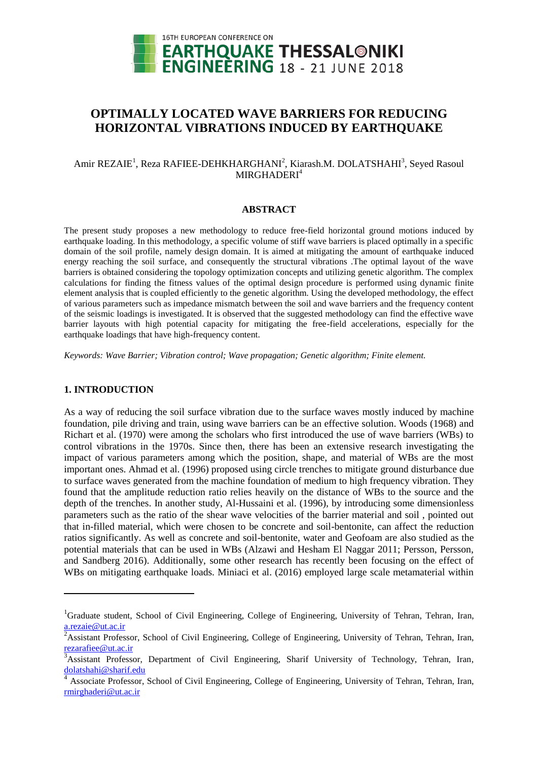

# **OPTIMALLY LOCATED WAVE BARRIERS FOR REDUCING HORIZONTAL VIBRATIONS INDUCED BY EARTHQUAKE**

# Amir REZAIE<sup>1</sup>, Reza RAFIEE-DEHKHARGHANI<sup>2</sup>, Kiarash.M. DOLATSHAHI<sup>3</sup>, Seyed Rasoul  $MIRGHADERI<sup>4</sup>$

# **ABSTRACT**

The present study proposes a new methodology to reduce free-field horizontal ground motions induced by earthquake loading. In this methodology, a specific volume of stiff wave barriers is placed optimally in a specific domain of the soil profile, namely design domain. It is aimed at mitigating the amount of earthquake induced energy reaching the soil surface, and consequently the structural vibrations .The optimal layout of the wave barriers is obtained considering the topology optimization concepts and utilizing genetic algorithm. The complex calculations for finding the fitness values of the optimal design procedure is performed using dynamic finite element analysis that is coupled efficiently to the genetic algorithm. Using the developed methodology, the effect of various parameters such as impedance mismatch between the soil and wave barriers and the frequency content of the seismic loadings is investigated. It is observed that the suggested methodology can find the effective wave barrier layouts with high potential capacity for mitigating the free-field accelerations, especially for the earthquake loadings that have high-frequency content.

*Keywords: Wave Barrier; Vibration control; Wave propagation; Genetic algorithm; Finite element.*

# **1. INTRODUCTION**

l

As a way of reducing the soil surface vibration due to the surface waves mostly induced by machine foundation, pile driving and train, using wave barriers can be an effective solution. Woods (1968) and Richart et al. (1970) were among the scholars who first introduced the use of wave barriers (WBs) to control vibrations in the 1970s. Since then, there has been an extensive research investigating the impact of various parameters among which the position, shape, and material of WBs are the most important ones. Ahmad et al. (1996) proposed using circle trenches to mitigate ground disturbance due to surface waves generated from the machine foundation of medium to high frequency vibration. They found that the amplitude reduction ratio relies heavily on the distance of WBs to the source and the depth of the trenches. In another study, Al-Hussaini et al. (1996), by introducing some dimensionless parameters such as the ratio of the shear wave velocities of the barrier material and soil , pointed out that in-filled material, which were chosen to be concrete and soil-bentonite, can affect the reduction ratios significantly. As well as concrete and soil-bentonite, water and Geofoam are also studied as the potential materials that can be used in WBs (Alzawi and Hesham El Naggar 2011; Persson, Persson, and Sandberg 2016). Additionally, some other research has recently been focusing on the effect of WBs on mitigating earthquake loads. Miniaci et al. (2016) employed large scale metamaterial within

<sup>&</sup>lt;sup>1</sup>Graduate student, School of Civil Engineering, College of Engineering, University of Tehran, Tehran, Iran, a.rezaie@ut.ac.ir

<sup>&</sup>lt;sup>2</sup>Assistant Professor, School of Civil Engineering, College of Engineering, University of Tehran, Tehran, Iran, rezarafiee@ut.ac.ir

 $\overline{3}$ Assistant Professor, Department of Civil Engineering, Sharif University of Technology, Tehran, Iran, dolatshahi@sharif.edu

<sup>4</sup> Associate Professor, School of Civil Engineering, College of Engineering, University of Tehran, Tehran, Iran, rmirghaderi@ut.ac.ir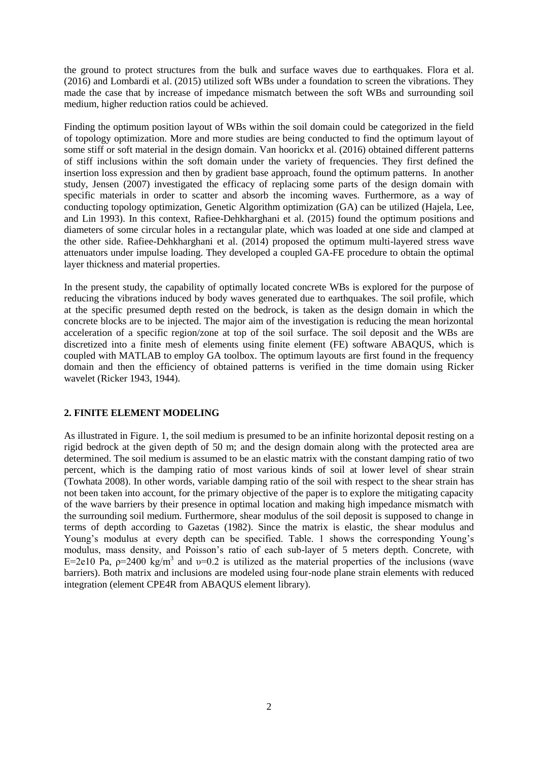the ground to protect structures from the bulk and surface waves due to earthquakes. Flora et al. (2016) and Lombardi et al. (2015) utilized soft WBs under a foundation to screen the vibrations. They made the case that by increase of impedance mismatch between the soft WBs and surrounding soil medium, higher reduction ratios could be achieved.

Finding the optimum position layout of WBs within the soil domain could be categorized in the field of topology optimization. More and more studies are being conducted to find the optimum layout of some stiff or soft material in the design domain. Van hoorickx et al. (2016) obtained different patterns of stiff inclusions within the soft domain under the variety of frequencies. They first defined the insertion loss expression and then by gradient base approach, found the optimum patterns. In another study, Jensen (2007) investigated the efficacy of replacing some parts of the design domain with specific materials in order to scatter and absorb the incoming waves. Furthermore, as a way of conducting topology optimization, Genetic Algorithm optimization (GA) can be utilized (Hajela, Lee, and Lin 1993). In this context, Rafiee-Dehkharghani et al. (2015) found the optimum positions and diameters of some circular holes in a rectangular plate, which was loaded at one side and clamped at the other side. Rafiee-Dehkharghani et al. (2014) proposed the optimum multi-layered stress wave attenuators under impulse loading. They developed a coupled GA-FE procedure to obtain the optimal layer thickness and material properties.

In the present study, the capability of optimally located concrete WBs is explored for the purpose of reducing the vibrations induced by body waves generated due to earthquakes. The soil profile, which at the specific presumed depth rested on the bedrock, is taken as the design domain in which the concrete blocks are to be injected. The major aim of the investigation is reducing the mean horizontal acceleration of a specific region/zone at top of the soil surface. The soil deposit and the WBs are discretized into a finite mesh of elements using finite element (FE) software ABAQUS, which is coupled with MATLAB to employ GA toolbox. The optimum layouts are first found in the frequency domain and then the efficiency of obtained patterns is verified in the time domain using Ricker wavelet (Ricker 1943, 1944).

# **2. FINITE ELEMENT MODELING**

As illustrated in Figure. 1, the soil medium is presumed to be an infinite horizontal deposit resting on a rigid bedrock at the given depth of 50 m; and the design domain along with the protected area are determined. The soil medium is assumed to be an elastic matrix with the constant damping ratio of two percent, which is the damping ratio of most various kinds of soil at lower level of shear strain (Towhata 2008). In other words, variable damping ratio of the soil with respect to the shear strain has not been taken into account, for the primary objective of the paper is to explore the mitigating capacity of the wave barriers by their presence in optimal location and making high impedance mismatch with the surrounding soil medium. Furthermore, shear modulus of the soil deposit is supposed to change in terms of depth according to Gazetas (1982). Since the matrix is elastic, the shear modulus and Young's modulus at every depth can be specified. Table. 1 shows the corresponding Young's modulus, mass density, and Poisson's ratio of each sub-layer of 5 meters depth. Concrete, with E=2e10 Pa,  $p=2400 \text{ kg/m}^3$  and  $v=0.2$  is utilized as the material properties of the inclusions (wave barriers). Both matrix and inclusions are modeled using four-node plane strain elements with reduced integration (element CPE4R from ABAQUS element library).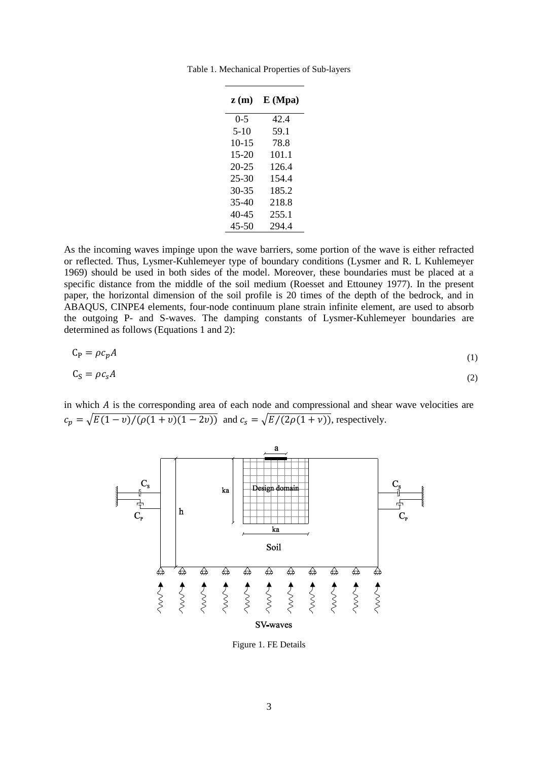| z(m)      | E(Mpa) |
|-----------|--------|
| $0 - 5$   | 42.4   |
| $5-10$    | 59.1   |
| $10 - 15$ | 78.8   |
| $15-20$   | 101.1  |
| 20-25     | 126.4  |
| $25 - 30$ | 154.4  |
| 30-35     | 185.2  |
| $35 - 40$ | 218.8  |
| 40-45     | 255.1  |
| 45-50     | 294.4  |

Table 1. Mechanical Properties of Sub-layers

As the incoming waves impinge upon the wave barriers, some portion of the wave is either refracted or reflected. Thus, Lysmer-Kuhlemeyer type of boundary conditions (Lysmer and R. L Kuhlemeyer 1969) should be used in both sides of the model. Moreover, these boundaries must be placed at a specific distance from the middle of the soil medium (Roesset and Ettouney 1977). In the present paper, the horizontal dimension of the soil profile is 20 times of the depth of the bedrock, and in ABAQUS, CINPE4 elements, four-node continuum plane strain infinite element, are used to absorb the outgoing P- and S-waves. The damping constants of Lysmer-Kuhlemeyer boundaries are determined as follows (Equations 1 and 2):

$$
C_P = \rho c_p A \tag{1}
$$

$$
C_S = \rho c_S A \tag{2}
$$

in which  $\vec{A}$  is the corresponding area of each node and compressional and shear wave velocities are  $c_p = \sqrt{E(1 - v)/(\rho(1 + v)(1 - 2v))}$  and  $c_s = \sqrt{E/(2\rho(1 + v))}$ , respectively.



<span id="page-2-0"></span>Figure 1. FE Details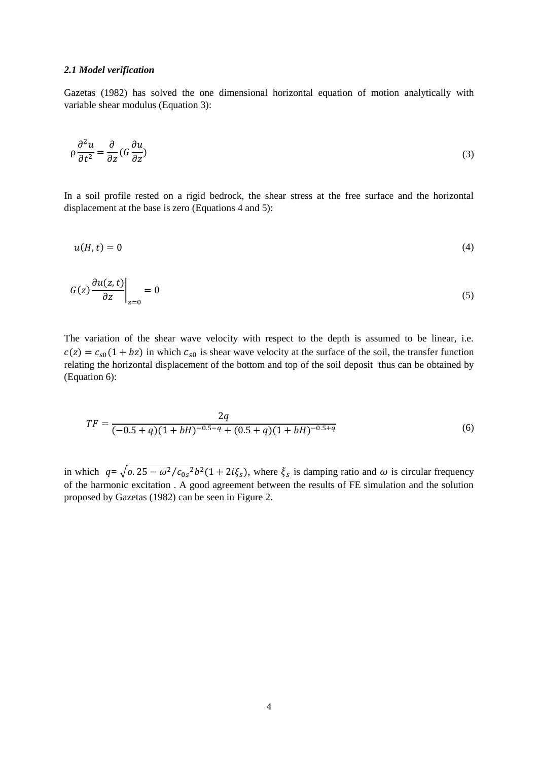#### *2.1 Model verification*

Gazetas (1982) has solved the one dimensional horizontal equation of motion analytically with variable shear modulus (Equation 3):

$$
\rho \frac{\partial^2 u}{\partial t^2} = \frac{\partial}{\partial z} \left( G \frac{\partial u}{\partial z} \right) \tag{3}
$$

In a soil profile rested on a rigid bedrock, the shear stress at the free surface and the horizontal displacement at the base is zero (Equations 4 and 5):

$$
u(H,t) = 0 \tag{4}
$$

$$
G(z)\frac{\partial u(z,t)}{\partial z}\bigg|_{z=0} = 0\tag{5}
$$

The variation of the shear wave velocity with respect to the depth is assumed to be linear, i.e.  $c(z) = c_{s0}(1 + bz)$  in which  $c_{s0}$  is shear wave velocity at the surface of the soil, the transfer function relating the horizontal displacement of the bottom and top of the soil deposit thus can be obtained by (Equation 6):

$$
TF = \frac{2q}{(-0.5 + q)(1 + bH)^{-0.5 - q} + (0.5 + q)(1 + bH)^{-0.5 + q}}
$$
(6)

in which  $q = \sqrt{0.25 - \omega^2/c_{0s}^2}$   $h^2(1 + 2i\xi_s)$ , where  $\xi_s$  is damping ratio and  $\omega$  is circular frequency of the harmonic excitation . A good agreement between the results of FE simulation and the solution proposed by Gazetas (1982) can be seen in [Figure](#page-4-0) 2.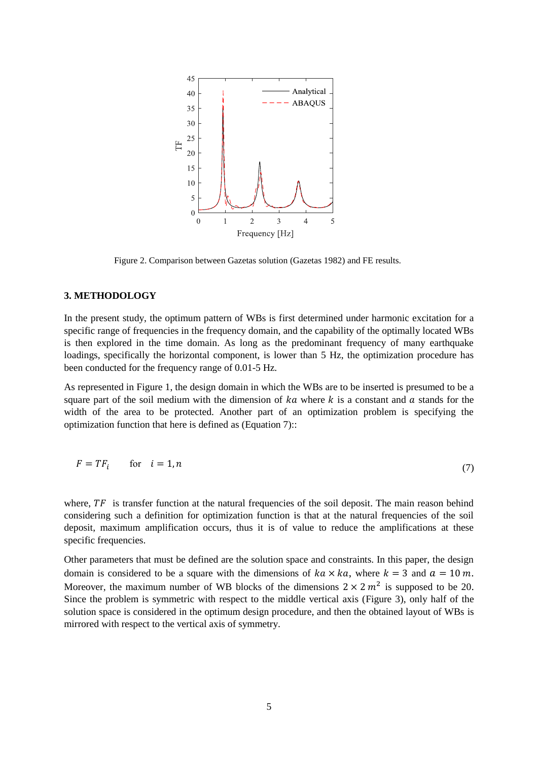

Figure 2. Comparison between Gazetas solution (Gazetas 1982) and FE results.

## <span id="page-4-0"></span>**3. METHODOLOGY**

In the present study, the optimum pattern of WBs is first determined under harmonic excitation for a specific range of frequencies in the frequency domain, and the capability of the optimally located WBs is then explored in the time domain. As long as the predominant frequency of many earthquake loadings, specifically the horizontal component, is lower than 5 Hz, the optimization procedure has been conducted for the frequency range of 0.01-5 Hz.

As represented in [Figure](#page-2-0) 1, the design domain in which the WBs are to be inserted is presumed to be a square part of the soil medium with the dimension of  $ka$  where  $k$  is a constant and  $a$  stands for the width of the area to be protected. Another part of an optimization problem is specifying the optimization function that here is defined as (Equation 7)::

$$
F = TF_i \qquad \text{for} \quad i = 1, n \tag{7}
$$

where,  $TF$  is transfer function at the natural frequencies of the soil deposit. The main reason behind considering such a definition for optimization function is that at the natural frequencies of the soil deposit, maximum amplification occurs, thus it is of value to reduce the amplifications at these specific frequencies.

Other parameters that must be defined are the solution space and constraints. In this paper, the design domain is considered to be a square with the dimensions of  $ka \times ka$ , where  $k = 3$  and  $a = 10$  m. Moreover, the maximum number of WB blocks of the dimensions  $2 \times 2 m^2$  is supposed to be 20. Since the problem is symmetric with respect to the middle vertical axis [\(Figure](#page-5-0) 3), only half of the solution space is considered in the optimum design procedure, and then the obtained layout of WBs is mirrored with respect to the vertical axis of symmetry.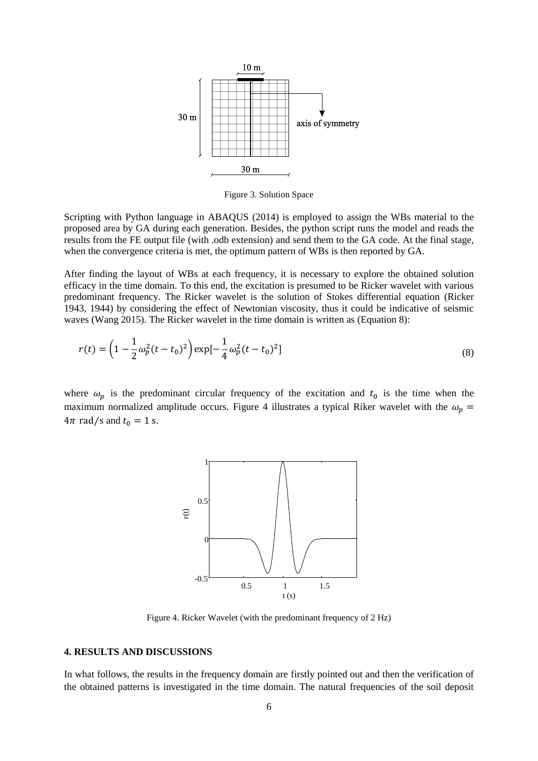

Figure 3. Solution Space

<span id="page-5-0"></span>Scripting with Python language in ABAQUS (2014) is employed to assign the WBs material to the proposed area by GA during each generation. Besides, the python script runs the model and reads the results from the FE output file (with .odb extension) and send them to the GA code. At the final stage, when the convergence criteria is met, the optimum pattern of WBs is then reported by GA.

After finding the layout of WBs at each frequency, it is necessary to explore the obtained solution efficacy in the time domain. To this end, the excitation is presumed to be Ricker wavelet with various predominant frequency. The Ricker wavelet is the solution of Stokes differential equation (Ricker 1943, 1944) by considering the effect of Newtonian viscosity, thus it could be indicative of seismic waves (Wang 2015). The Ricker wavelet in the time domain is written as (Equation 8):

$$
r(t) = \left(1 - \frac{1}{2}\omega_p^2(t - t_0)^2\right) \exp\left[-\frac{1}{4}\omega_p^2(t - t_0)^2\right]
$$
\n(8)

where  $\omega_p$  is the predominant circular frequency of the excitation and  $t_0$  is the time when the maximum normalized amplitude occurs. [Figure](#page-5-1) 4 illustrates a typical Riker wavelet with the  $\omega_p$  =  $4\pi$  rad/s and  $t_0 = 1$  s.



Figure 4. Ricker Wavelet (with the predominant frequency of 2 Hz)

### <span id="page-5-1"></span>**4. RESULTS AND DISCUSSIONS**

In what follows, the results in the frequency domain are firstly pointed out and then the verification of the obtained patterns is investigated in the time domain. The natural frequencies of the soil deposit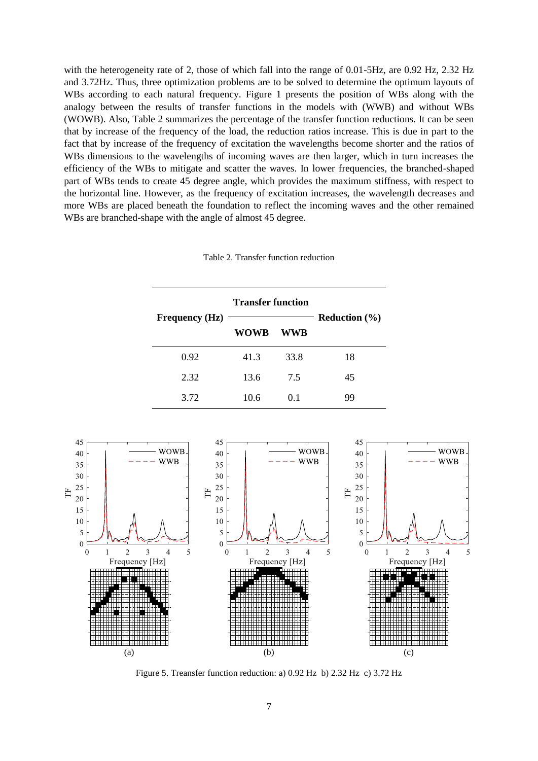with the heterogeneity rate of 2, those of which fall into the range of 0.01-5Hz, are 0.92 Hz, 2.32 Hz and 3.72Hz. Thus, three optimization problems are to be solved to determine the optimum layouts of WBs according to each natural frequency. [Figure](#page-2-0) 1 presents the position of WBs along with the analogy between the results of transfer functions in the models with (WWB) and without WBs (WOWB). Also, Table 2 summarizes the percentage of the transfer function reductions. It can be seen that by increase of the frequency of the load, the reduction ratios increase. This is due in part to the fact that by increase of the frequency of excitation the wavelengths become shorter and the ratios of WBs dimensions to the wavelengths of incoming waves are then larger, which in turn increases the efficiency of the WBs to mitigate and scatter the waves. In lower frequencies, the branched-shaped part of WBs tends to create 45 degree angle, which provides the maximum stiffness, with respect to the horizontal line. However, as the frequency of excitation increases, the wavelength decreases and more WBs are placed beneath the foundation to reflect the incoming waves and the other remained WBs are branched-shape with the angle of almost 45 degree.

#### Table 2. Transfer function reduction

|                    | <b>Transfer function</b> |                | <b>Reduction</b> $(\% )$ |
|--------------------|--------------------------|----------------|--------------------------|
| Frequency $(Hz)$ — | WOWB                     | WWB            |                          |
| 0.92               | 41.3                     | 33.8           | 18                       |
| 2.32               | 13.6                     | 7.5            | 45                       |
| 3.72               | 10.6                     | 0 <sub>1</sub> | 99                       |



Figure 5. Treansfer function reduction: a) 0.92 Hz b) 2.32 Hz c) 3.72 Hz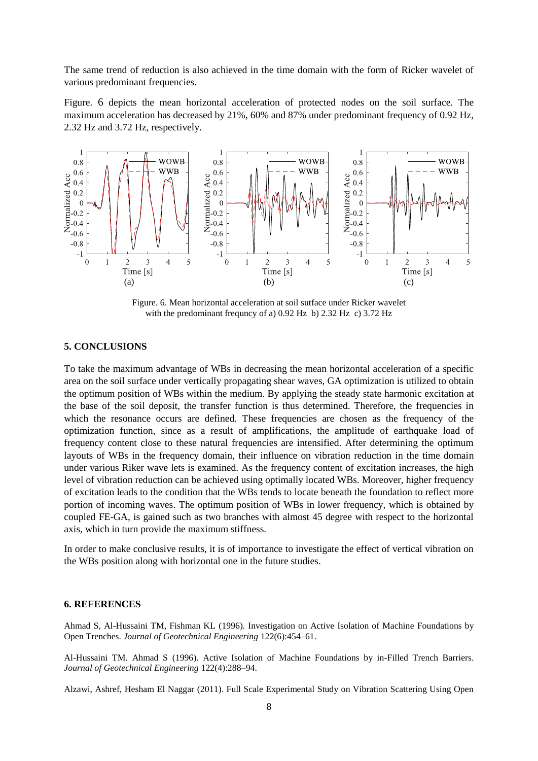The same trend of reduction is also achieved in the time domain with the form of Ricker wavelet of various predominant frequencies.

[Figure.](#page-7-0) 6 depicts the mean horizontal acceleration of protected nodes on the soil surface. The maximum acceleration has decreased by 21%, 60% and 87% under predominant frequency of 0.92 Hz, 2.32 Hz and 3.72 Hz, respectively.



Figure. 6. Mean horizontal acceleration at soil sutface under Ricker wavelet with the predominant frequncy of a) 0.92 Hz b) 2.32 Hz c) 3.72 Hz

# <span id="page-7-0"></span>**5. CONCLUSIONS**

To take the maximum advantage of WBs in decreasing the mean horizontal acceleration of a specific area on the soil surface under vertically propagating shear waves, GA optimization is utilized to obtain the optimum position of WBs within the medium. By applying the steady state harmonic excitation at the base of the soil deposit, the transfer function is thus determined. Therefore, the frequencies in which the resonance occurs are defined. These frequencies are chosen as the frequency of the optimization function, since as a result of amplifications, the amplitude of earthquake load of frequency content close to these natural frequencies are intensified. After determining the optimum layouts of WBs in the frequency domain, their influence on vibration reduction in the time domain under various Riker wave lets is examined. As the frequency content of excitation increases, the high level of vibration reduction can be achieved using optimally located WBs. Moreover, higher frequency of excitation leads to the condition that the WBs tends to locate beneath the foundation to reflect more portion of incoming waves. The optimum position of WBs in lower frequency, which is obtained by coupled FE-GA, is gained such as two branches with almost 45 degree with respect to the horizontal axis, which in turn provide the maximum stiffness.

In order to make conclusive results, it is of importance to investigate the effect of vertical vibration on the WBs position along with horizontal one in the future studies.

#### **6. REFERENCES**

Ahmad S, Al-Hussaini TM, Fishman KL (1996). Investigation on Active Isolation of Machine Foundations by Open Trenches. *Journal of Geotechnical Engineering* 122(6):454–61.

Al-Hussaini TM. Ahmad S (1996). Active Isolation of Machine Foundations by in-Filled Trench Barriers. *Journal of Geotechnical Engineering* 122(4):288–94.

Alzawi, Ashref, Hesham El Naggar (2011). Full Scale Experimental Study on Vibration Scattering Using Open